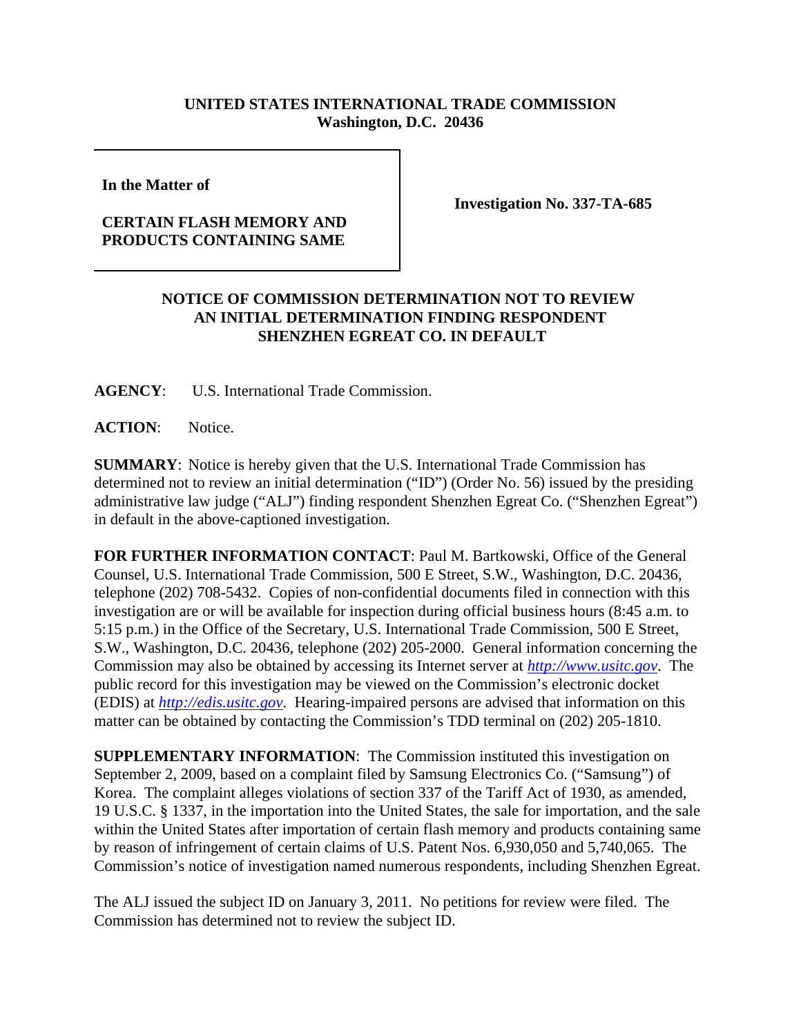## **UNITED STATES INTERNATIONAL TRADE COMMISSION Washington, D.C. 20436**

**In the Matter of** 

## **CERTAIN FLASH MEMORY AND PRODUCTS CONTAINING SAME**

**Investigation No. 337-TA-685**

## **NOTICE OF COMMISSION DETERMINATION NOT TO REVIEW AN INITIAL DETERMINATION FINDING RESPONDENT SHENZHEN EGREAT CO. IN DEFAULT**

**AGENCY**: U.S. International Trade Commission.

**ACTION**: Notice.

**SUMMARY**: Notice is hereby given that the U.S. International Trade Commission has determined not to review an initial determination ("ID") (Order No. 56) issued by the presiding administrative law judge ("ALJ") finding respondent Shenzhen Egreat Co. ("Shenzhen Egreat") in default in the above-captioned investigation.

**FOR FURTHER INFORMATION CONTACT**: Paul M. Bartkowski, Office of the General Counsel, U.S. International Trade Commission, 500 E Street, S.W., Washington, D.C. 20436, telephone (202) 708-5432. Copies of non-confidential documents filed in connection with this investigation are or will be available for inspection during official business hours (8:45 a.m. to 5:15 p.m.) in the Office of the Secretary, U.S. International Trade Commission, 500 E Street, S.W., Washington, D.C. 20436, telephone (202) 205-2000. General information concerning the Commission may also be obtained by accessing its Internet server at *http://www.usitc.gov*. The public record for this investigation may be viewed on the Commission's electronic docket (EDIS) at *http://edis.usitc.gov*. Hearing-impaired persons are advised that information on this matter can be obtained by contacting the Commission's TDD terminal on (202) 205-1810.

**SUPPLEMENTARY INFORMATION**: The Commission instituted this investigation on September 2, 2009, based on a complaint filed by Samsung Electronics Co. ("Samsung") of Korea. The complaint alleges violations of section 337 of the Tariff Act of 1930, as amended, 19 U.S.C. § 1337, in the importation into the United States, the sale for importation, and the sale within the United States after importation of certain flash memory and products containing same by reason of infringement of certain claims of U.S. Patent Nos. 6,930,050 and 5,740,065. The Commission's notice of investigation named numerous respondents, including Shenzhen Egreat.

The ALJ issued the subject ID on January 3, 2011. No petitions for review were filed. The Commission has determined not to review the subject ID.